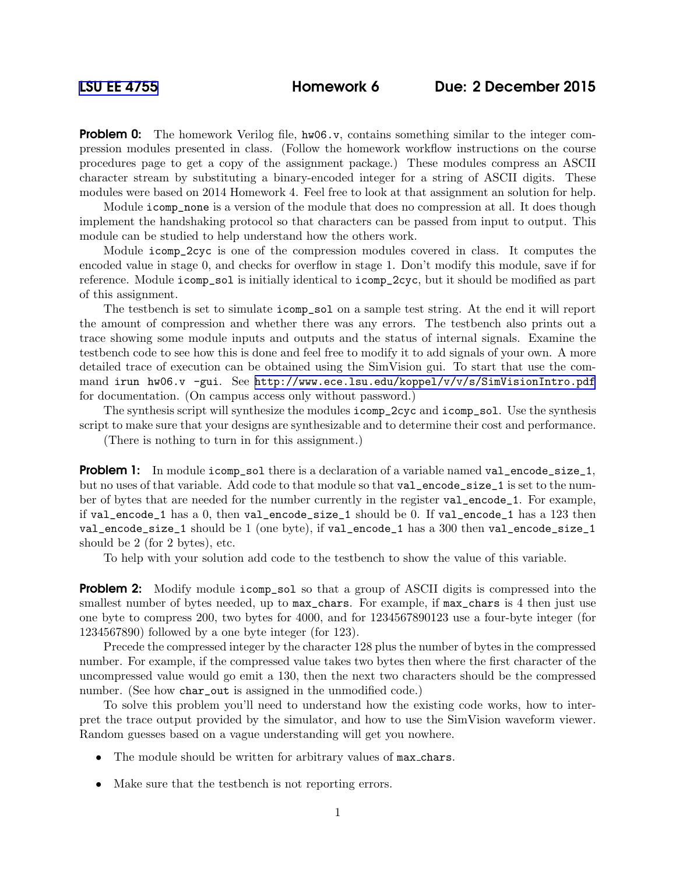**Problem 0:** The homework Verilog file,  $h \varphi 6. \varphi$ , contains something similar to the integer compression modules presented in class. (Follow the homework workflow instructions on the course procedures page to get a copy of the assignment package.) These modules compress an ASCII character stream by substituting a binary-encoded integer for a string of ASCII digits. These modules were based on 2014 Homework 4. Feel free to look at that assignment an solution for help.

Module icomp\_none is a version of the module that does no compression at all. It does though implement the handshaking protocol so that characters can be passed from input to output. This module can be studied to help understand how the others work.

Module icomp\_2cyc is one of the compression modules covered in class. It computes the encoded value in stage 0, and checks for overflow in stage 1. Don't modify this module, save if for reference. Module icomp\_sol is initially identical to icomp\_2cyc, but it should be modified as part of this assignment.

The testbench is set to simulate icomp\_sol on a sample test string. At the end it will report the amount of compression and whether there was any errors. The testbench also prints out a trace showing some module inputs and outputs and the status of internal signals. Examine the testbench code to see how this is done and feel free to modify it to add signals of your own. A more detailed trace of execution can be obtained using the SimVision gui. To start that use the command irun hw06.v -gui. See <http://www.ece.lsu.edu/koppel/v/v/s/SimVisionIntro.pdf> for documentation. (On campus access only without password.)

The synthesis script will synthesize the modules icomp\_2cyc and icomp\_sol. Use the synthesis script to make sure that your designs are synthesizable and to determine their cost and performance.

(There is nothing to turn in for this assignment.)

**Problem 1:** In module icomp\_sol there is a declaration of a variable named val\_encode\_size\_1, but no uses of that variable. Add code to that module so that val\_encode\_size\_1 is set to the number of bytes that are needed for the number currently in the register val\_encode\_1. For example, if val\_encode\_1 has a 0, then val\_encode\_size\_1 should be 0. If val\_encode\_1 has a 123 then val\_encode\_size\_1 should be 1 (one byte), if val\_encode\_1 has a 300 then val\_encode\_size\_1 should be 2 (for 2 bytes), etc.

To help with your solution add code to the testbench to show the value of this variable.

**Problem 2:** Modify module icomp\_sol so that a group of ASCII digits is compressed into the smallest number of bytes needed, up to  $max_{\text{max}}$  chars. For example, if  $max_{\text{max}}$  chars is 4 then just use one byte to compress 200, two bytes for 4000, and for 1234567890123 use a four-byte integer (for 1234567890) followed by a one byte integer (for 123).

Precede the compressed integer by the character 128 plus the number of bytes in the compressed number. For example, if the compressed value takes two bytes then where the first character of the uncompressed value would go emit a 130, then the next two characters should be the compressed number. (See how char\_out is assigned in the unmodified code.)

To solve this problem you'll need to understand how the existing code works, how to interpret the trace output provided by the simulator, and how to use the SimVision waveform viewer. Random guesses based on a vague understanding will get you nowhere.

- The module should be written for arbitrary values of max chars.
- Make sure that the testbench is not reporting errors.